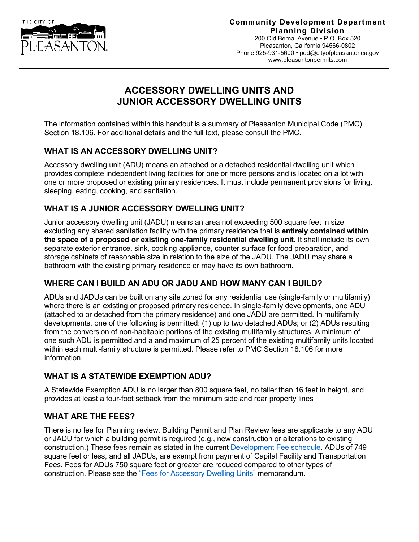

#### **Community Development Department Planning Division**

200 Old Bernal Avenue • P.O. Box 520 Pleasanton, California 94566-0802 Phone 925-931-5600 • [pod@cityofpleasantonca.gov](mailto:pod@cityofpleasantonca.gov) www.pleasantonpermits.com

# **ACCESSORY DWELLING UNITS AND JUNIOR ACCESSORY DWELLING UNITS**

The information contained within this handout is a summary of Pleasanton Municipal Code (PMC) Section 18.106. For additional details and the full text, please consult the PMC.

#### **WHAT IS AN ACCESSORY DWELLING UNIT?**

Accessory dwelling unit (ADU) means an attached or a detached residential dwelling unit which provides complete independent living facilities for one or more persons and is located on a lot with one or more proposed or existing primary residences. It must include permanent provisions for living, sleeping, eating, cooking, and sanitation.

## **WHAT IS A JUNIOR ACCESSORY DWELLING UNIT?**

Junior accessory dwelling unit (JADU) means an area not exceeding 500 square feet in size excluding any shared sanitation facility with the primary residence that is **entirely contained within the space of a proposed or existing one-family residential dwelling unit**. It shall include its own separate exterior entrance, sink, cooking appliance, counter surface for food preparation, and storage cabinets of reasonable size in relation to the size of the JADU. The JADU may share a bathroom with the existing primary residence or may have its own bathroom.

## **WHERE CAN I BUILD AN ADU OR JADU AND HOW MANY CAN I BUILD?**

ADUs and JADUs can be built on any site zoned for any residential use (single-family or multifamily) where there is an existing or proposed primary residence. In single-family developments, one ADU (attached to or detached from the primary residence) and one JADU are permitted. In multifamily developments, one of the following is permitted: (1) up to two detached ADUs; or (2) ADUs resulting from the conversion of non-habitable portions of the existing multifamily structures. A minimum of one such ADU is permitted and a and maximum of 25 percent of the existing multifamily units located within each multi-family structure is permitted. Please refer to PMC Section 18.106 for more information.

## **WHAT IS A STATEWIDE EXEMPTION ADU?**

A Statewide Exemption ADU is no larger than 800 square feet, no taller than 16 feet in height, and provides at least a four-foot setback from the minimum side and rear property lines

#### **WHAT ARE THE FEES?**

There is no fee for Planning review. Building Permit and Plan Review fees are applicable to any ADU or JADU for which a building permit is required (e.g., new construction or alterations to existing construction.) These fees remain as stated in the current [Development Fee schedule.](http://www.cityofpleasantonca.gov/civicax/filebank/blobdload.aspx?BlobID=35624) ADUs of 749 square feet or less, and all JADUs, are exempt from payment of Capital Facility and Transportation Fees. Fees for ADUs 750 square feet or greater are reduced compared to other types of construction. Please see the ["Fees for Accessory Dwelling Units"](http://www.cityofpleasantonca.gov/civicax/filebank/blobdload.aspx?BlobID=35620) memorandum.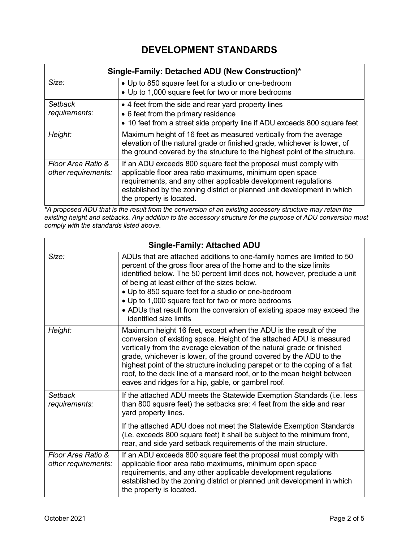# **DEVELOPMENT STANDARDS**

| Single-Family: Detached ADU (New Construction)* |                                                                                                                                                                                                                                                                                                      |  |
|-------------------------------------------------|------------------------------------------------------------------------------------------------------------------------------------------------------------------------------------------------------------------------------------------------------------------------------------------------------|--|
| Size:                                           | • Up to 850 square feet for a studio or one-bedroom<br>• Up to 1,000 square feet for two or more bedrooms                                                                                                                                                                                            |  |
| <b>Setback</b><br>requirements:                 | • 4 feet from the side and rear yard property lines<br>• 6 feet from the primary residence<br>• 10 feet from a street side property line if ADU exceeds 800 square feet                                                                                                                              |  |
| Height:                                         | Maximum height of 16 feet as measured vertically from the average<br>elevation of the natural grade or finished grade, whichever is lower, of<br>the ground covered by the structure to the highest point of the structure.                                                                          |  |
| Floor Area Ratio &<br>other requirements:       | If an ADU exceeds 800 square feet the proposal must comply with<br>applicable floor area ratio maximums, minimum open space<br>requirements, and any other applicable development regulations<br>established by the zoning district or planned unit development in which<br>the property is located. |  |

*\*A proposed ADU that is the result from the conversion of an existing accessory structure may retain the existing height and setbacks. Any addition to the accessory structure for the purpose of ADU conversion must comply with the standards listed above.* 

| <b>Single-Family: Attached ADU</b>        |                                                                                                                                                                                                                                                                                                                                                                                                                                                                                                           |  |
|-------------------------------------------|-----------------------------------------------------------------------------------------------------------------------------------------------------------------------------------------------------------------------------------------------------------------------------------------------------------------------------------------------------------------------------------------------------------------------------------------------------------------------------------------------------------|--|
| Size:                                     | ADUs that are attached additions to one-family homes are limited to 50<br>percent of the gross floor area of the home and to the size limits<br>identified below. The 50 percent limit does not, however, preclude a unit<br>of being at least either of the sizes below.<br>• Up to 850 square feet for a studio or one-bedroom<br>• Up to 1,000 square feet for two or more bedrooms<br>• ADUs that result from the conversion of existing space may exceed the<br>identified size limits               |  |
| Height:                                   | Maximum height 16 feet, except when the ADU is the result of the<br>conversion of existing space. Height of the attached ADU is measured<br>vertically from the average elevation of the natural grade or finished<br>grade, whichever is lower, of the ground covered by the ADU to the<br>highest point of the structure including parapet or to the coping of a flat<br>roof, to the deck line of a mansard roof, or to the mean height between<br>eaves and ridges for a hip, gable, or gambrel roof. |  |
| <b>Setback</b><br>requirements:           | If the attached ADU meets the Statewide Exemption Standards (i.e. less<br>than 800 square feet) the setbacks are: 4 feet from the side and rear<br>yard property lines.                                                                                                                                                                                                                                                                                                                                   |  |
|                                           | If the attached ADU does not meet the Statewide Exemption Standards<br>(i.e. exceeds 800 square feet) it shall be subject to the minimum front,<br>rear, and side yard setback requirements of the main structure.                                                                                                                                                                                                                                                                                        |  |
| Floor Area Ratio &<br>other requirements: | If an ADU exceeds 800 square feet the proposal must comply with<br>applicable floor area ratio maximums, minimum open space<br>requirements, and any other applicable development regulations<br>established by the zoning district or planned unit development in which<br>the property is located.                                                                                                                                                                                                      |  |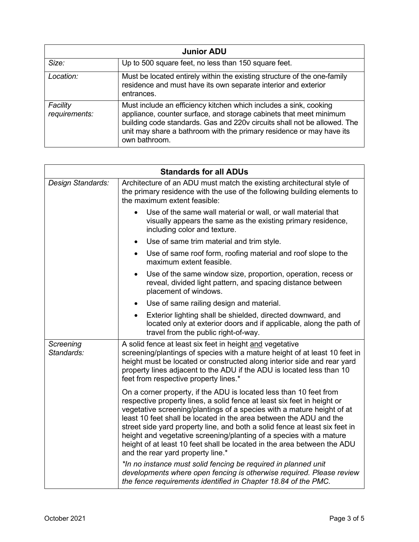| <b>Junior ADU</b>         |                                                                                                                                                                                                                                                                                                              |  |
|---------------------------|--------------------------------------------------------------------------------------------------------------------------------------------------------------------------------------------------------------------------------------------------------------------------------------------------------------|--|
| Size:                     | Up to 500 square feet, no less than 150 square feet.                                                                                                                                                                                                                                                         |  |
| Location:                 | Must be located entirely within the existing structure of the one-family<br>residence and must have its own separate interior and exterior<br>entrances.                                                                                                                                                     |  |
| Facility<br>requirements: | Must include an efficiency kitchen which includes a sink, cooking<br>appliance, counter surface, and storage cabinets that meet minimum<br>building code standards. Gas and 220v circuits shall not be allowed. The<br>unit may share a bathroom with the primary residence or may have its<br>own bathroom. |  |

| <b>Standards for all ADUs</b> |                                                                                                                                                                                                                                                                                                                                                                                                                                                                                                                                                                     |  |
|-------------------------------|---------------------------------------------------------------------------------------------------------------------------------------------------------------------------------------------------------------------------------------------------------------------------------------------------------------------------------------------------------------------------------------------------------------------------------------------------------------------------------------------------------------------------------------------------------------------|--|
| Design Standards:             | Architecture of an ADU must match the existing architectural style of<br>the primary residence with the use of the following building elements to<br>the maximum extent feasible:                                                                                                                                                                                                                                                                                                                                                                                   |  |
|                               | Use of the same wall material or wall, or wall material that<br>visually appears the same as the existing primary residence,<br>including color and texture.                                                                                                                                                                                                                                                                                                                                                                                                        |  |
|                               | Use of same trim material and trim style.<br>$\bullet$                                                                                                                                                                                                                                                                                                                                                                                                                                                                                                              |  |
|                               | Use of same roof form, roofing material and roof slope to the<br>$\bullet$<br>maximum extent feasible.                                                                                                                                                                                                                                                                                                                                                                                                                                                              |  |
|                               | Use of the same window size, proportion, operation, recess or<br>reveal, divided light pattern, and spacing distance between<br>placement of windows.                                                                                                                                                                                                                                                                                                                                                                                                               |  |
|                               | Use of same railing design and material.                                                                                                                                                                                                                                                                                                                                                                                                                                                                                                                            |  |
|                               | Exterior lighting shall be shielded, directed downward, and<br>located only at exterior doors and if applicable, along the path of<br>travel from the public right-of-way.                                                                                                                                                                                                                                                                                                                                                                                          |  |
| Screening<br>Standards:       | A solid fence at least six feet in height and vegetative<br>screening/plantings of species with a mature height of at least 10 feet in<br>height must be located or constructed along interior side and rear yard<br>property lines adjacent to the ADU if the ADU is located less than 10<br>feet from respective property lines.*                                                                                                                                                                                                                                 |  |
|                               | On a corner property, if the ADU is located less than 10 feet from<br>respective property lines, a solid fence at least six feet in height or<br>vegetative screening/plantings of a species with a mature height of at<br>least 10 feet shall be located in the area between the ADU and the<br>street side yard property line, and both a solid fence at least six feet in<br>height and vegetative screening/planting of a species with a mature<br>height of at least 10 feet shall be located in the area between the ADU<br>and the rear yard property line.* |  |
|                               | *In no instance must solid fencing be required in planned unit<br>developments where open fencing is otherwise required. Please review<br>the fence requirements identified in Chapter 18.84 of the PMC.                                                                                                                                                                                                                                                                                                                                                            |  |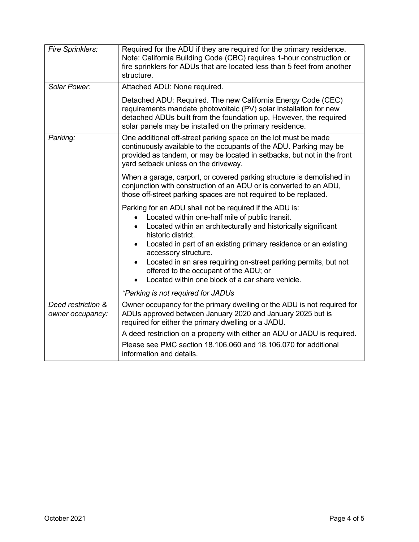| Fire Sprinklers:                       | Required for the ADU if they are required for the primary residence.<br>Note: California Building Code (CBC) requires 1-hour construction or<br>fire sprinklers for ADUs that are located less than 5 feet from another<br>structure.                                                                                                                                                                                                             |
|----------------------------------------|---------------------------------------------------------------------------------------------------------------------------------------------------------------------------------------------------------------------------------------------------------------------------------------------------------------------------------------------------------------------------------------------------------------------------------------------------|
| Solar Power:                           | Attached ADU: None required.                                                                                                                                                                                                                                                                                                                                                                                                                      |
|                                        | Detached ADU: Required. The new California Energy Code (CEC)<br>requirements mandate photovoltaic (PV) solar installation for new<br>detached ADUs built from the foundation up. However, the required<br>solar panels may be installed on the primary residence.                                                                                                                                                                                 |
| Parking:                               | One additional off-street parking space on the lot must be made<br>continuously available to the occupants of the ADU. Parking may be<br>provided as tandem, or may be located in setbacks, but not in the front<br>yard setback unless on the driveway.                                                                                                                                                                                          |
|                                        | When a garage, carport, or covered parking structure is demolished in<br>conjunction with construction of an ADU or is converted to an ADU,<br>those off-street parking spaces are not required to be replaced.                                                                                                                                                                                                                                   |
|                                        | Parking for an ADU shall not be required if the ADU is:<br>Located within one-half mile of public transit.<br>Located within an architecturally and historically significant<br>$\bullet$<br>historic district.<br>Located in part of an existing primary residence or an existing<br>$\bullet$<br>accessory structure.<br>Located in an area requiring on-street parking permits, but not<br>$\bullet$<br>offered to the occupant of the ADU; or |
|                                        | Located within one block of a car share vehicle.                                                                                                                                                                                                                                                                                                                                                                                                  |
|                                        | *Parking is not required for JADUs                                                                                                                                                                                                                                                                                                                                                                                                                |
| Deed restriction &<br>owner occupancy: | Owner occupancy for the primary dwelling or the ADU is not required for<br>ADUs approved between January 2020 and January 2025 but is<br>required for either the primary dwelling or a JADU.                                                                                                                                                                                                                                                      |
|                                        | A deed restriction on a property with either an ADU or JADU is required.                                                                                                                                                                                                                                                                                                                                                                          |
|                                        | Please see PMC section 18.106.060 and 18.106.070 for additional<br>information and details.                                                                                                                                                                                                                                                                                                                                                       |